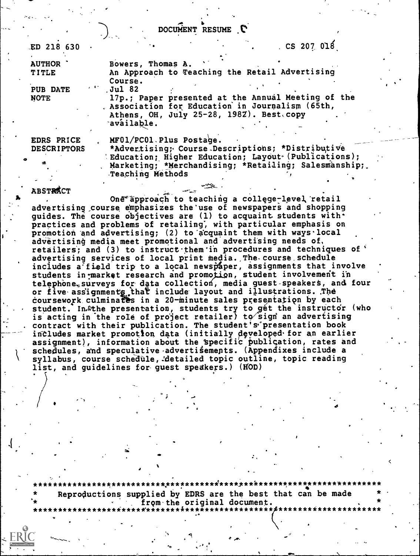DOCUMENT RESUME C

| ED 218 630                       | $\sim$ CS 207 018                                                                                                                                                                                                |
|----------------------------------|------------------------------------------------------------------------------------------------------------------------------------------------------------------------------------------------------------------|
| <b>AUTHOR</b><br><b>TITLE</b>    | Bowers, Thomas A.<br>An Approach to Teaching the Retail Advertising<br>Course.                                                                                                                                   |
| PUB DATE<br><b>NOTE</b>          | Jul 82<br>17p.; Paper presented at the Annual Meeting of the<br>Association for Education in Journalism (65th,<br>Athens, OH, July 25-28, 198Z). Best.copy<br>available.                                         |
| EDRS PRICE<br><b>DESCRIPTORS</b> | MF01/PC01. Plus Postage.<br>*Advertising; Course Descriptions; *Distributive<br>'Education; Higher Education; Layout (Publications);<br>Marketing; *Merchandising; *Retailing; Salesmanship;<br>Teaching Methods |

**ABSTRACT** 

 $\mathcal{L}^{\infty}$ 

One approach to teaching a college-level retail advertising course emphasizes the use of newspapers and shopping quides. The course objectives are  $(1)$  to acquaint students with. practices and problems of retailing; with particular emphasis on promotion and advertising; (2) to acquaint them with ways local advertising media meet promotional and advertising needs of retailers; and (3) to instruct them in procedures and techniques of advertising services of local print media., The-course schedule includes a field trip to a local newspaper, assignments that involve students in market research and promotion, student involvement in telephone, surveys for data collection, media guest-speakers, and four or five assignments that include layout and illustrations. The coursework culminates in a 20-minute sales presentation by each student. In the presentation, students try to get the instructor (who is acting in the role of project retailer) to sign an advertising contract with their publication. The student's presentation book includes market promotion data (initially developed for an earlier assignment), information about the specific publication, rates and schedules, and speculative advertisements. (Appendixes include a syllabus, course schedule, detailed topic outline, topic reading list, and guidelines for guest speakers.) (HOD)

\*\*\*\*\*\*\*\*\*\*\*\*\*\*\*\*\*\*\*\*\*\*\*\*\*\*\*.\*\*\*\*\*\*\*\*\*\*i\*\*\*\*.\*\*\*\*\*\*\*\*\*\*\*\*\*\*\*\*\*\*\*\*\*\*\*\*\*\*\*\* Reproductions supplied by EDRS are the best that can be made .\* from-the original document.

 $\setminus$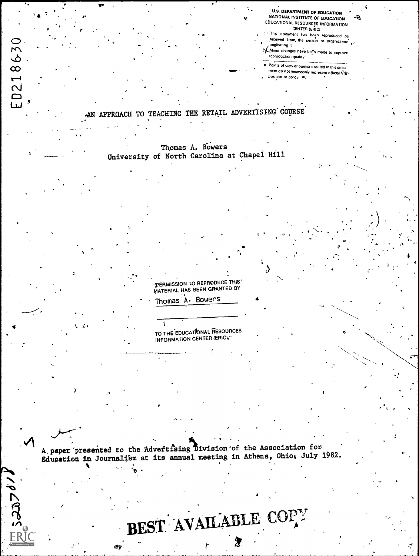U.S. DEPARTMENT OF EDUCATION<br>NATIONAL INSTITUTE OF EDUCATION EDUCATIONAL RESOURCES INFORMATION CENTER (ERIC)

٠.

<sup>I</sup> This document has been reproduced as received from the person or organization .

CI..Minor changes have befn made to improve reproduction quality

Points of view or opinions stated in this docul ment do not necessarily represent official NIE position or policy  $\rightarrow$ 

 $\circ$  ,  $\circ$  ,  $\circ$  ,  $\circ$ 

.

# .AN APPROACH TO TEACHING THE RETAIL ADVERTISING COURSE

-

Thomas A. DOwers University of North Carolina at Chapel Hill

lERMISSION TO REPRODUCE THIS' MATERIAL HAS BEEN GRANTED BY

Thomas A. Bowers

 $\bullet$ 

2

ED218630

s

0

TO THE EDUCATIONAL RESOURCES INFORMATION CENTER (ERIC)."

A paper presented to the Advertising Division of the Association for, Education in Journalism at its annual meeting in Athens, Ohio, July 1982. <sup>R</sup> v

6 ,

 $J\delta$  case

# BEST AVAILABLE COPY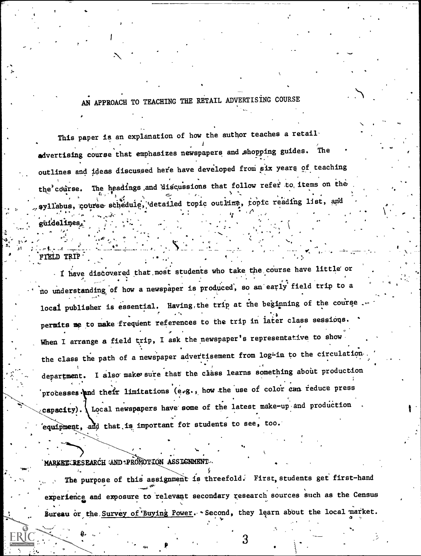# AN APPROACH TO TEACHING THE RETAIL ADVERTISING COURSE

This paper is an explanation of how the author teaches a retail advertising course that emphasizes newspapers and shopping guides. The ---' outlines and ideas discussed here have developed from six years of teaching the course. The headings and discussions that follow refer to items on the  $\overline{y}$ ,  $\overline{y}$ ,  $\overline{y}$ . syllabus, course schedule, detailed topic outline, topic reading list, and guidelines. -

I have discovered that most students who take the course have little or no understanding of how a newspaper is produced, so an early field trip to a local publisher is essential. Having, the trip at the beginning of the course. permits me to make frequent references to the trip in later class sessions. When I arrange a field trip, I ask the newspaper's representative to show the class the path of a newspaper advertisement from log-in to the circulationdepartment. I also make sure that the class learns something about production processes and their limitations (e.g., how the use of color can reduce press capacity). I Local newspapers have some of the latest make-up and production equipment, and that is important for students to see, too.

MARKETCRESEARCH AND PROMOTION ASSIGNMENT

4.

FIELD TRIP'

The purpose of this assignment is threefold. First, students get first-hand experience and exposure to relevant secondary research sources such as the Census Bureau or the Survey of Buying Power. Second, they learn about the local market.

.  $3$ 

. \_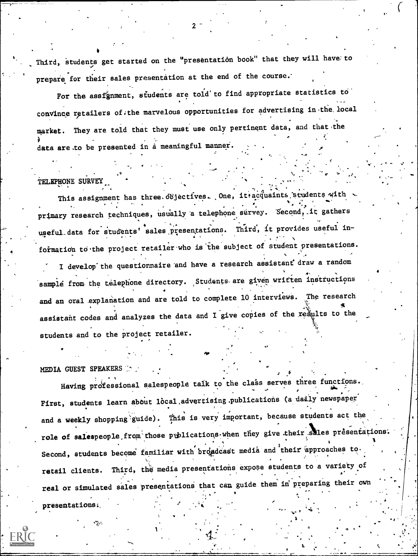Third, students get started on the "presentation book" that they will have to prepare for their sales presentation at the end of the course.

For the assfgnment, students are told to find appropriate statistics to convince retailers of the marvelous opportunities for advertising in the local market. They are told that they must use only pertinent data, and that the data are to be presented in a meaningful manner.

#### TELEPHONE SURVEY

This assignment has three objectives. One, it acquaints students with primary research techniques, usually a telephone survey. Second, it gathers ugeful data for students' sales presentations. Third, it provides useful information to the project retailer who is the subject of student presentations.

I develop the questionnaire and have a research assistant draw a random sample from the telephone directory. Students are given written instructions and an oral explanation and are told to complete 10 interviews. The research assistant codes and analyzes the data and I give copies of the results to the students and to the project retailer.

#### MEDIA GUEST SPEAKERS

Having professional salespeople talk to the class serves three functions. First, students learn about local advertising publications (a daily newspaper and a weekly shopping guide). This is very important, because students act the role of salespeople from those publications when they give their sales presentations. Second, students become familiar with broadcast media and their approaches to Third, the media presentations expose students to a variety of retail clients. real or simulated sales presentations that can guide them in preparing their own presentations: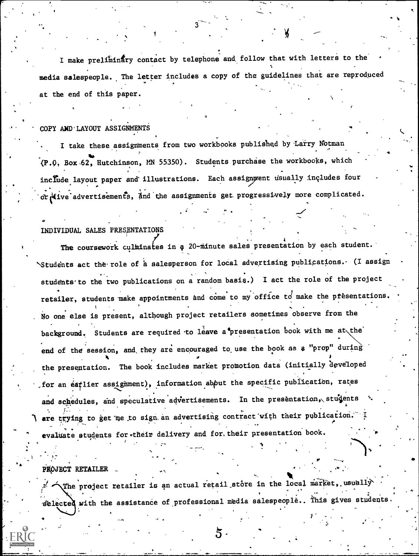I make preliminary contact by telephone and follow that with letters to the containt media salespeople. The letter includes a copy of the guidelines that are reproduced at the end of this paper.

 $\ddot{\phantom{0}}$ 

 $\sim$   $\sim$   $\sim$ 

#### COPY AND LAYOUT ASSIGNMENTS

I take these assignments from two workbooks published by Larry Notman  $(11.0, 11.0)$   $(2.0, 11.0)$   $(2.0, 11.0)$   $(3.0, 11.0)$   $(4.0, 11.0)$   $(5.0, 11.0)$   $(7.0, 11.0)$ include layout paper and illustrations. Each assignment usually includes four or five advertisements, and the assignments get progressively more complicated.

### INDIVIDUAL SALES PRESENTATIONS

O

The coursework culminates in a 20-minute sales presentation by each student. \Students act the role of a salesperson for local advertising publications. (I assign students to the two publications on a random basis.) I act the role of the project retailer, students make appointments and come to my office to make the presentations No one else is present, although project retailers sometimes observe from the background. Students are required to leave a<sup>t</sup>presentation book with me at the end of the session, and, they are encouraged to, use the book as a "prop" during the presentation. The book includes market promotion data (initially developed , for an eatlier assignment), information about the specific publication, rates and schedules, and speculative advertisements. In the presentation, students  $\ddot{\cdot}$ are trying to get me to sign an advertising contract with their publication. evaluate students for their delivery and for, their presentation book.

. The contract of the contract of the contract of the contract of the contract of the contract of the contract of the contract of the contract of the contract of the contract of the contract of the contract of the contrac PROJECT RETAILER

to the contract of the contract of the contract of the contract of the contract of the contract of the contract of the contract of the contract of the contract of the contract of the contract of the contract of the contra

 $\mathcal{X}$ . The project retailer is an actual retail store in the local market, usually  $\mathcal{Y}$ selected with the assistance of professional media salespeople.. This gives students.

%

 $\sim$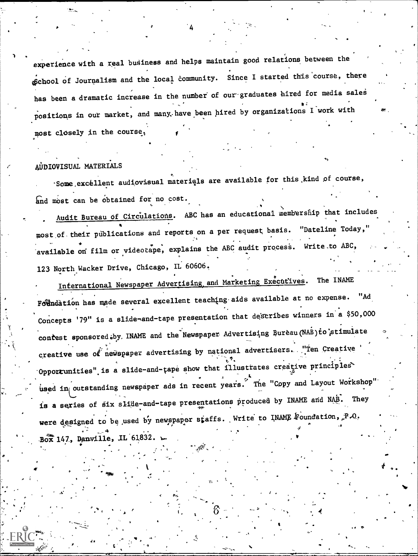experience with a real business and helps maintain good relations between the of Gohool of Journalism and the local community. Since I started this course, there has been a dramatic increase in the number of our graduates hired for media sales positions in our market, and many, have been hired by organizations I work with  $\qquad$ most closely in the course,

#### AUDIOVISUAL MATERIALS

-Some.excellent audiovisual materials are available for this.kind of course, and most can be obtained for no cost.

Audit Bureau Of Circulations. ABC has an educational membership that includes most,of,their publications and reports on a per request basis. "Dateline Today," available on film or videotape, explains the ABC audit process. Write.to ABC, 123 North Wacker Drive, Chicago, IL 60606. .

International Newspaper Advertising and Marketing Executives. The INAME Fothdation has made several excellent teaching aids available at no expense. "Ad Concepts '79" is a slide-and-tape presentation that describes winners in a \$50,000 contest sponsored.by, INAME and the Newspaper Advertising Bureau (NAB) to stimulate creative use of newspaper advertising by national advertisers. "Ten Creative Opporrunities" is a slide-and-tape show that illustrates creative principles used in outstanding newspaper ads in recent years. The "Copy and Layout Workshop" is a series of six slide-and-tape presentations produced by INAME and NAB. They were designed to be used by newspaper staffs. Write to INAME  $\mathbb F$ oundation,  $\mathbb P$ .O.  $B_0$ x 147, Danville, IL 61832.

 $\bullet$  . The set of  $\bullet$ 

O

 $\mathcal{L}_{\mathbf{c}}(\mathbf{c}) = \mathcal{L}_{\mathbf{c}}(\mathbf{c}) = \mathcal{L}_{\mathbf{c}}(\mathbf{c})$ 

1.\*

k

'4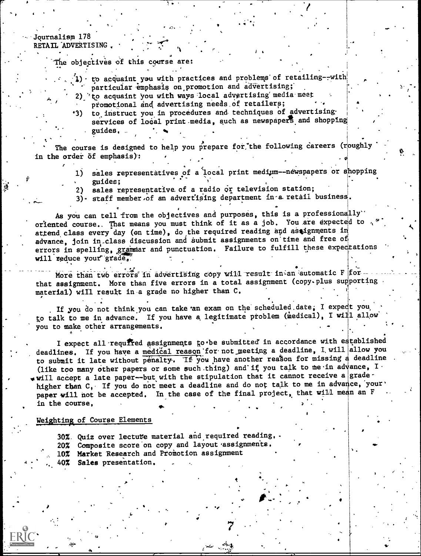Journalism 178 RETAIL ADVERTISING.

The objectives of this course are:

 $(1)$  to acquaint you with practices and problems' of retailing--with  $($ . Particular emphasis on promotion and advertising; which is a particular emphasis on promotion and advertising;

, .

 $\mathbf{I}$ 

.

69

- 2), to acquaint you with ways local advertising media-meet
- promotional and advertising needs of retailers;
- 43) to instruct you in procedures and techniques of advertising, services of local print media, such as newspapers and shopping guides,

. . .

The course is designed to help you prepare for the following careers (roughly  $\overline{\phantom{a}}$ in the order  $\delta f$  emphasis):

- . . 1) sales representatives of a local print medium--newspapers or snopping  $\blacksquare$ ,  $\blacksquare$ ,  $\blacksquare$ ,  $\blacksquare$ ,  $\blacksquare$ ,  $\blacksquare$ ,  $\blacksquare$ ,  $\blacksquare$ ,  $\blacksquare$ ,  $\blacksquare$ ,  $\blacksquare$ ,  $\blacksquare$ ,  $\blacksquare$ ,  $\blacksquare$ ,  $\blacksquare$ ,  $\blacksquare$ ,  $\blacksquare$ ,  $\blacksquare$ ,  $\blacksquare$ ,  $\blacksquare$ ,  $\blacksquare$ ,  $\blacksquare$ ,  $\blacksquare$ ,  $\blacksquare$ ,  $\blacksquare$ ,  $\blacksquare$ ,  $\blacksquare$ ,  $\blacksquare$ 
	- 2) sales representative of a radio or television station; and a position of the station;
	- 3). staff member.of an advertising department in a retail business.

 $\bullet$  , and the set of the set of the set of the set of the set of the set of the set of the set of the set of the set of the set of the set of the set of the set of the set of the set of the set of the set of the set of t As you can tell from the objectives and purposes, this is a professionally oriented course.. That means you must think of it as a job. You are expected to attend class every day (en time), do the required reading and assignments in advance, join in class discussion and submit assignments on time and free of errors in spelling, grammar and punctuation. Failure to fulfill these expectations will reduce your grade,

More than two errors in advertising copy will result in an automatic F  $f$ or  $$ that assignment. More than five errors in a total assignment (copy.plus supporting material) will result in.a grade no higher than C.

. . . .. . 1. . If you do not think you can take an exam on the scheduled date; I expect you, to talk to me in advance. If you have a legitimate problem (medical), I will allow you to make other arrangements.

I expect all required assignments to be submitted in accordance with established deadlines. If you have a medical reason for not meeting a deadline, I will allow you to submit it late without penalty. If you have another reason for missing a deadline (like too many other papers or some such thing) and if you talk to me in advance, I, will accept a late paper--but with the stipulation that it cannot receive a gradehigher than C, If you do not meet a deadline and do not talk to me in advance, your' paper will not be accepted. In the case of the final project, that will mean an F in the course.

 $\ddot{\bullet}$ 

7

#### Weighting of Course Elements

30%. Quiz over lecture material and required reading,. 20% Composite score on copy and layout assignments. 10% Market Research and Promotion assignment 40% Sales presentation,

, and the second second control  $\bullet$  . The second second second second second second second second second second second second second second second second second second second second second second second second second sec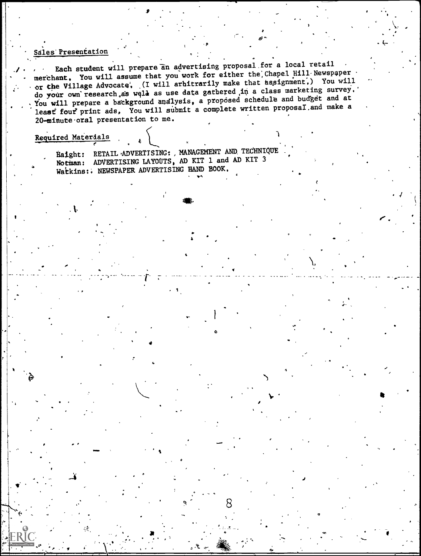#### Sales'Presentation

Each student will prepare an advertising proposal.for a local retail merchant. You will assume that you work for either the Chapel Hill Newspaper or the Village Advocate'. (I will arbitrarily make that assignment,) You will do your own research as well as use data gathered in a class marketing survey.' You will prepare a background analysis, a proposed schedule and budget and at least four print ads, You will submit a complete written proposal and make a 20-minute oral presentation to me.

).

 $\delta$  is a set of  $\delta$  is a set of  $\delta$ 

 $\sim$ 

 $\overline{J}$  and  $\overline{J}$ 

**O** and the second second  $\theta$ 

It

#### Required Materials

 $\mathbf{v}$  is a set of  $\mathbf{v}$ 

OP'

Haight: RETAIL ADVERTISING: , MANAGEMENT AND TECHNIQUE Notman: ADVERTISING LAYOUTS, AD KIT 1 and AD KIT 3 Watkins:. NEWSPAPER ADVERTISING HAND BOOK.

 $^{\circ}$  L  $^{\circ}$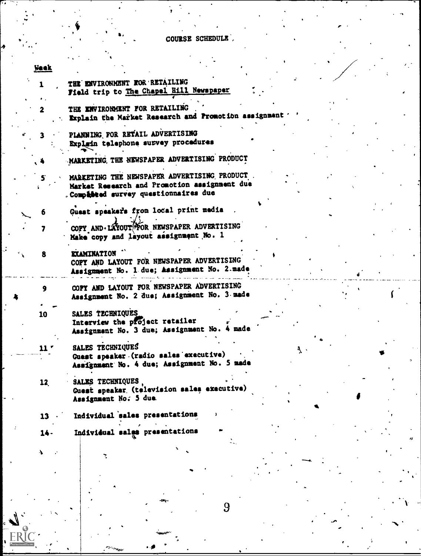## COURSE SCHEDULE

| <b>Week</b> |                                                                                                                                      |
|-------------|--------------------------------------------------------------------------------------------------------------------------------------|
|             | THE ENVIRONMENT FOR RETAILING<br>Field trip to The Chapel Hill Newspaper                                                             |
|             | THE ENVIRONMENT FOR RETAILING<br>Explain the Market Research and Promotion assignment                                                |
|             | PLANNING FOR RETAIL ADVERTISING<br>Explain telephone survey procedures                                                               |
|             | MARKETING, THE NEWSPAPER ADVERTISING PRODUCT                                                                                         |
|             | MARKETING THE NEWSPAPER ADVERTISING PRODUCT<br>Market Research and Promotion assignment due<br>. Compéssed survey questionnaires due |
|             | Guest speakers from local print media                                                                                                |
| 7           | COPY AND LAYOUT FOR NEWSPAPER ADVERTISING<br>Make copy and layout assignment No. 1                                                   |
| 8           | <b>EXAMINATION</b><br>COPY AND LAYOUT FOR NEWSPAPER ADVERTISING<br>Assignment No. 1 due; Assignment No. 2 made                       |
| 9           | COPY AND LAYOUT FOR NEWSPAPER ADVERTISING<br>Assignment No. 2 due; Assignment No. 3 made                                             |
| 10          | SALES TECHNIQUES<br>Interview the project retailer<br>Assignment No. 3 due; Assignment No. 4 made                                    |
| 11.         | SALES TECHNIQUES                                                                                                                     |
|             | Guest speaker (radio sales executive)<br>Assignment No. 4 due; Assignment No. 5 made                                                 |
| 12.         | SALES TECHNIQUES,<br>Guest speaker (television sales executive)<br>Assignment No. 5 due                                              |
| 13          | Individual sales presentations                                                                                                       |
| 14-         | Individual sales presentations                                                                                                       |
| J.          |                                                                                                                                      |
|             |                                                                                                                                      |

ſ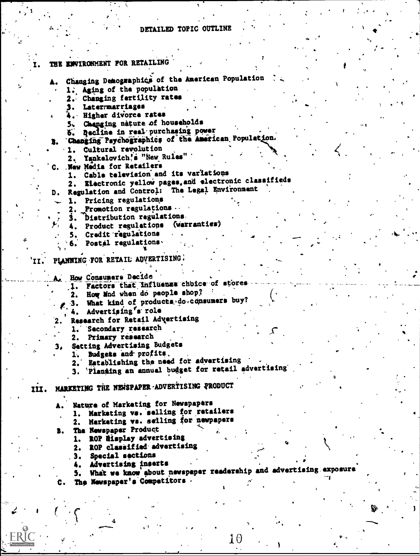## DETAILED TOPIC OUTLINE

 $\mathbf{I}$ 

|    | THE ENVIRONMENT FOR RETAILING                                          |  |    |
|----|------------------------------------------------------------------------|--|----|
|    |                                                                        |  |    |
|    | Changing Demographics of the American Population                       |  |    |
|    |                                                                        |  |    |
|    | 1. Aging of the population                                             |  |    |
|    | 2. Changing fertility rates                                            |  |    |
|    | 3. Latermarriages                                                      |  |    |
|    | 4. Higher divorce rates                                                |  |    |
|    | 5. Changing nature of households                                       |  |    |
|    | 6. Decline in real purchasing power                                    |  |    |
|    | Changing Psychographics of the American Population.                    |  |    |
|    |                                                                        |  |    |
|    | Cultural revolution<br>1.                                              |  |    |
|    | 2. Yankelovich's "New Rules"                                           |  |    |
|    | C. New Media for Retailers                                             |  |    |
|    | 1. Cable television and its variations                                 |  |    |
|    | Electronic yellow pages, and electronic classifieds                    |  |    |
| D. | Regulation and Control: The Legal Environment                          |  |    |
|    | Pricing regulations<br>1.                                              |  |    |
|    | 2. Promotion regulations.                                              |  |    |
|    |                                                                        |  |    |
|    | 3. Distribution regulations                                            |  |    |
|    | 4. Product regulations (warranties)                                    |  |    |
|    | 5. Credit regulations                                                  |  |    |
|    | 6. Postal regulations.                                                 |  |    |
|    |                                                                        |  |    |
|    | 'II. PLANNING FOR RETAIL ADVERTISING.                                  |  |    |
|    |                                                                        |  |    |
|    | A. How Consumers Decide                                                |  |    |
|    | 1. Factors that influence choice of stores                             |  |    |
|    | 2. How lind when do people shop?                                       |  |    |
|    |                                                                        |  |    |
|    | 3. What kind of products do consumers buy?                             |  |    |
|    | Advertising <sup>r</sup> s role<br>4.                                  |  |    |
| 2. | Research for Retail Advertising                                        |  |    |
|    | 1. Secondary research                                                  |  |    |
|    | Primary research<br>2.                                                 |  |    |
| з. | Setting Advertising Budgets                                            |  |    |
|    | 1. Budgets and profits.                                                |  |    |
|    | 2. Establishing the need for advertising                               |  |    |
|    |                                                                        |  |    |
|    | 'Planning an annual budget for retail advertising                      |  |    |
|    |                                                                        |  |    |
|    | III. MARKETING THE NEWSPAPER ADVERTISING PRODUCT                       |  |    |
|    |                                                                        |  |    |
|    | A. Nature of Markating for Newspapers                                  |  |    |
|    | 1. Markating va. selling for retailers                                 |  |    |
|    | Marketing vs. selling for newpapers<br>2.                              |  |    |
|    | B. The Newspaper Product                                               |  |    |
|    | 1. ROP display advertising                                             |  |    |
|    | ROP classified advertising                                             |  |    |
|    | 2.                                                                     |  |    |
|    | Special sections<br>з.                                                 |  |    |
|    | Advertising inserts<br>4.                                              |  |    |
|    | What we know about newspaper readership and advertising exposure<br>5. |  |    |
|    | C. The Newspaper's Competitors.                                        |  |    |
|    |                                                                        |  |    |
|    |                                                                        |  |    |
|    |                                                                        |  |    |
|    |                                                                        |  | Řо |

 $10$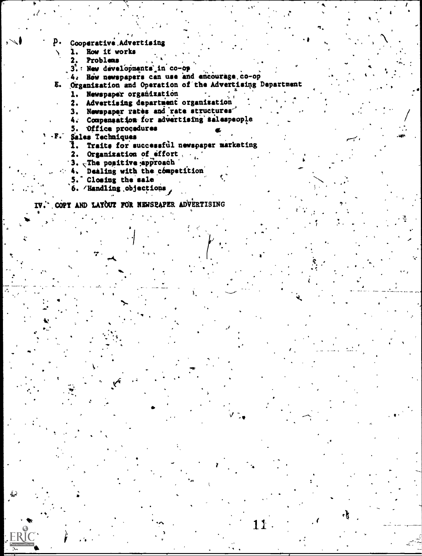- Cooperative Advertising
	- How it works ı.
	- Problems 2.
	- 3. New developments in co-op
	- How newspapers can use and encourage co-op  $4.4$

Organisation and Operation of the Advertising Department E.

 $\mathbf{r}$ 

s in

11.

- Newspaper organization  $\mathbf{1}$ .
- Advertising department organisation 2.
- Newspaper rates and rate structures  $3.$
- Compansation for advertising salespeople 4.
- 5. Office procedures
- $\overline{\mathbf{F}}$ . Sales Techniques
	- 1. Traits for successful newspaper marketing
	- 2. Organization of effort.
	- 3. The positive epproach
	- Dealing with the competition  $4.$
	- 5. Closing the sale
	- 6. /Handling objections

COPY AND LAYOUT FOR NEWSPAPER ADVERTISING IV.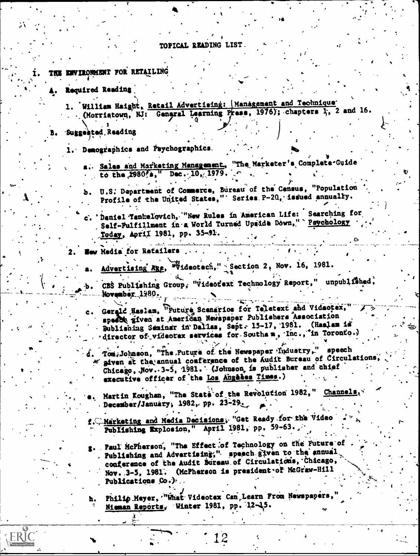#### TOPICAL READING LIST

- THE ENVIRONMENT FOR RETAILING
	- Required Reading
		- 1. William Haight, Retail Advertising: |Management and Technique (Morriatown, NJ: General Learning Press, 1976); chapters 1, 2 and 16.

Suggested Reading

ERI(

- 1. Demographics and Psychographics.
	- a. Sales and Marketing Management, "The Marketer's Complete-Guide
	- U.S. Department of Commerce, Bureau of the Census, "Population Profile of the United States," Series P-20, issued annually.
	- ' Daniel Tankelovich, "New Rules in American Life: Searching for Self-Fulfillment in a World Turned Upside Down," Psychology Today, April 1981, pp. 35-91.

How Media for Rafailers

- Advertising Age, Wideotech," Section 2, Nov. 16, 1981.
- CBS Publishing Group, "Videofext Technology Report," unpublished,  $\mathbf{h}$  . November 1980.
	- Gerald Haslam, "Future Scenarios for Teletext and Videotex," speech given at American Newspaper Publishers Association Bublishing Saminar in Dallas, Sept. 15-17, 1981. (Haslam is director of videotex services for Southam, Inc., in Toronto.)
	- Tom Johnson, "The Future of the Newspaper Industry," speech given at the annual conference of the Audit Bureau of Circulations, Chicago, Nov. 3-5, 1981. (Johnson is publisher and chief executive officer of the Los Angeles Times.)
- Martin Koughan, "The State of the Revolution 1982," Channels, December/January; 1982, pp. 23-29.
- f. C. Marketing and Media Decisions, "Get Ready for the Video Publishing Explosion," April 1981, pp. 59-63.
- g. Paul McPherson, "The Effect of Technology on the Future of Publishing and Advertising," speech given to the annual conference of the Audit Bureau of Circulations, Chicago, Nov. 3-5, 1981. (McPherson is president of McGraw-Hill Publications Co.)

Philip Mayer, "What Videotex Can Learn From Newspapers, h. Nieman Reports, Winter 1981, pp. 12-15.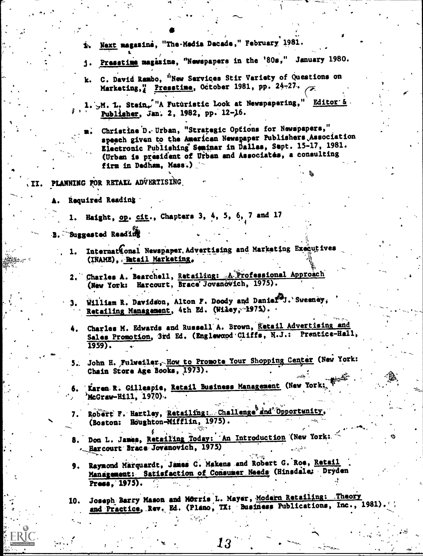- Next magazine, "The-Media Decade," February 1981.
- j. Presstimm magazine, "Newspapers in the '80s," January 1980.
- k. C. David Rambo, "New Services Stir Variety of Questions on Marketing, Presstine, October 1981, pp. 24-27.
- 1. A. L. Stein. "A Futuristic look at Newspapering," Editor'& Publisher, Jan. 2, 1982, pp. 12-16.
	- Christine D. Urban, "Strategic Options for Newspapers," speech given to the American Newspaper Publishers Association Electronic Publishing Seminar in Dallas, Sept. 15-17, 1981. (Urban is president of Urban and Associates, a consulting firm in Dedham, Mass.).

II. PLANNING FOR RETALL ADVERTISING

- Required Reading
	- Haight, op. cit., Chapters 3, 4, 5, 6, 7 and 17 1.
- Suggested Reading
	- International Newspaper, Advertising and Marketing Executives 1. (INAME), Betail Marketing.
	- 2. Charles A. Bearchell, Retailing: A Professional Approach (New York: Harcourt, Brace Jovanovich, 1975).
	- William R. Davidson, Alton F. Doody and Danier J. Sweeney, Retailing Management, 4th Ed. (Wiley, 1975).
	- Charles M. Edwards and Russell A. Brown, Retail Advertising and Sales Promotion, 3rd Ed. (Englewand Cliffs, N.J.: Prentice-Hall,  $1959$ .
	- 5. John H. Fulweiler, How to Promote Your Shopping Center (New York: Chain Store Age Books, 1973).
	- Karen R. Gillespie, Retail Business Management (New York; McGraw-Hill, 1970).
	- Robert F. Hartley, Retailing: Challenge and Opportunity, (Boston: Houghton-Mifflin, 1975).
	- 8. Don L. James, Retailing Today: An Introduction (New York: - Harcourt Brace Jovanovich, 1975)
	- Raymond Marquardt, James C. Makens and Robert G. Roe, Retail 9. Management: Satisfaction of Consumer Needs (Hinsdale: Dryden Press. 1975).
	- Joseph Barry Mason and Morris L. Mayer, Modern Retailing: Theory 10. and Practice, Rev. Ed. (Plano, TX: Business Publications, Inc., 1981)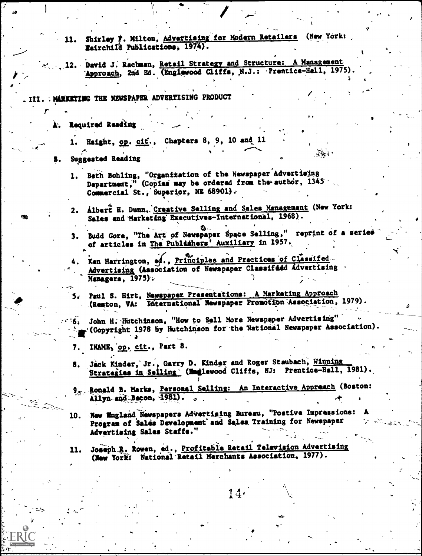- 11. Shirley F. Milton, Advertising for Modern Retailers (New York: Eairchild Publications, 1974).
- 12. David J. Rachman, Retail Strategy and Structure: A Management Approach, 2nd Ed. (Englawood Cliffs, N.J.: Prentice-Hall, 1975)

. III. : MARKETING THE NEWSPAPER ADVERTISING PRODUCT

Required Reading

1. Haight, op. cit., Chapters 8, 9, 10 and 11

#### **Suggested Reading**

- 1. Beth Bohling, "Organization of the Newspaper Advertising<br>Department," (Copies may be ordered from the author, 1345 Commercial St., Superior, NE 68901).
- Albert H. Dunn, Creative Selling and Sales Management (New York: 2. Sales and Marketing Executives-International, 1968).
- Budd Gore, "The Art of Newspaper Space Selling," reprint of a serie  $3.$ of articles in The Publishers' Auxiliary in 1957.
- Ken Harrington, ed., Principles and Practices of Classifed-Advertising (Association of Newspaper Classified Advertising Managers, 1975).
- 5. Paul S. Hirt, Newspaper Presentations: A Marketing Approach (Reston, VA: International Newspaper Promotion Association, 1979).
- John H. Hutchinson, "How to Sell More Newspaper Advertising" ำใช้รับ -"(Copyright 1978 by Hutchinson for the National Newspaper Association).

7. INAME, op. cit., Part 8.

- Jack Kinder, Jr., Garry D. Kinder and Roger Staubach, Winning 8. Strategias in Selling (Emglewood Cliffs, NJ: Prentice-Hall, 1981).
- 9. Ronald B. Marks, Personal Selling: An Interactive Appreach (Boston: Allyn and Bacon, 1981).  $\sim$

 $14.$ 

- 10. New England Newspapers Advertising Bureau, "Postive Impressions: Program of Sales Development' and Sales Training for Newspaper Advertising Sales Staffs."
- Joseph R. Rowen, ed., Profitable Retail Television Advertising 11. (New York: National Retail Merchants Association, 1977).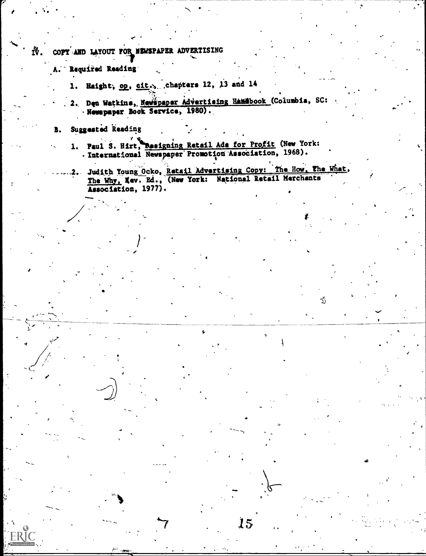COPY AND LAYOUT FOR NEWSPAPER Ñ. **ADVERTISING** 

- Required Reading
	- 1. Haight, op. cit., chapters 12, 13 and 14
	- 2. Den Watkins, Newspaper Advertising Hamsbook (Columbia, SC: Newspaper Book Service, 1980).
- Suggested Reading B.
	- 1. Paul S. Hirt, Resigning Retail Ads for Profit (New York:<br>Revenue and Rewspaper Promotion Association, 1968).

Judith Young Ocko, Retail Advertising Copy: The How, The What, The Why, Kev. Ed., (New York: National Retail Merchants Association, 1977).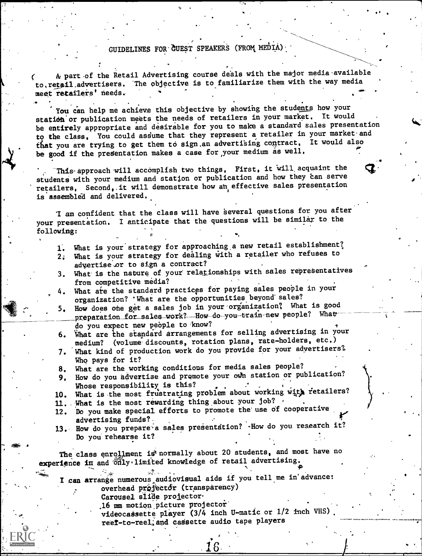## GUIDELINES FOR GUEST SPEAKERS (FROM MEDIA)

 $\circ$  .

A part of the Retail Advertising course deals with the major media available to.retail.advertisers. The objective is to familiarize them with the way media meet retailers' needs. .

You can help me achieve this objective by showing the students how your station or publication meets the needs of retailers in your market. It would be entirely appropriate and desirable for you to make a standard sales presentation to the class. You could assume that they represent a retailer in your market and that you are trying to get them to sign an advertising contract. It would also be good if the presentation makes a case for your medium as well.

This-approach will accomplish two things, First, it will acquaint the students with your medium and station or publication and how they can serve retailers, Second, it will demonstrate how an effective sales presentation is assembled and delivered.

am confident that the class will have 'several questions for you after your presentation. I anticipate that the questions will be similar to the following:

1. What is your strategy for approaching a new retail establishment? 2; What is your strategy for dealing with a retailer who refuses to

advertise or to sign a contract?

- 3. What is the nature of your relationships with sales representatives from competitive media?
- 4. What are the standard practices for paying sales people in your organization? 'What are the opportunities beyond sales?
- 5. How does one get a sales job in your organization? What is good preparation for sales work?---How-do-you-train-new people? Whatdo you expect new people to know?
- 6. What are the standard arrangements for selling advertising in your medium? (volume discounts, rotation plans, rate-holders, etc.)
- 7. What kind of production work do you provide for your advertisers? Who pays for it?
- 8. What are the working conditions for media sales people?
- 9. How do you advertise and promote your own station or publication?<br>Whose responsibility is this? Whose responsibility. is this? . . .

10. What is the most frustrating problem about working with retailers?  $\rightarrow$  .

- 11. What is the most rewarding thing about your job?
- 12. Do you make special efforts to promote the use of cooperative advertising funds?
- 13. How do you prepare a sales presentation? -How do you research it? Do you' rehearse it?

The class enrollment is normally about 20 students, and most have no experience in and only.limited knowledge of retail advertising.

I can arrange numerous audiovisual aids if you tell me in'advance: overhead projector (transparency)

Carousel slide projector.

.16 mm motion picture projector'

videocadsette player (3/4 inch U-matic or 1/2 inch VHS), reef-to-reel, and cassette audio tape players